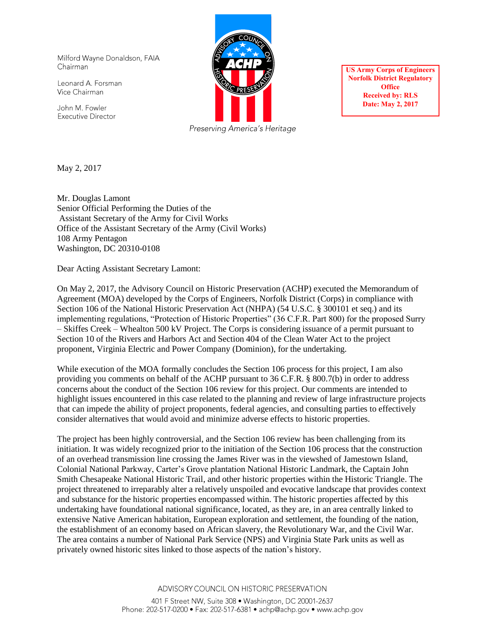Milford Wayne Donaldson, FAIA Chairman

Leonard A. Forsman Vice Chairman

John M. Fowler **Executive Director** 



**US Army Corps of Engineers Norfolk District Regulatory Office Received by: RLS Date: May 2, 2017** 

May 2, 2017

Mr. Douglas Lamont Senior Official Performing the Duties of the Assistant Secretary of the Army for Civil Works Office of the Assistant Secretary of the Army (Civil Works) 108 Army Pentagon Washington, DC 20310-0108

Dear Acting Assistant Secretary Lamont:

On May 2, 2017, the Advisory Council on Historic Preservation (ACHP) executed the Memorandum of Agreement (MOA) developed by the Corps of Engineers, Norfolk District (Corps) in compliance with Section 106 of the National Historic Preservation Act (NHPA) (54 U.S.C. § 300101 et seq.) and its implementing regulations, "Protection of Historic Properties" (36 C.F.R. Part 800) for the proposed Surry – Skiffes Creek – Whealton 500 kV Project. The Corps is considering issuance of a permit pursuant to Section 10 of the Rivers and Harbors Act and Section 404 of the Clean Water Act to the project proponent, Virginia Electric and Power Company (Dominion), for the undertaking.

While execution of the MOA formally concludes the Section 106 process for this project, I am also providing you comments on behalf of the ACHP pursuant to 36 C.F.R. § 800.7(b) in order to address concerns about the conduct of the Section 106 review for this project. Our comments are intended to highlight issues encountered in this case related to the planning and review of large infrastructure projects that can impede the ability of project proponents, federal agencies, and consulting parties to effectively consider alternatives that would avoid and minimize adverse effects to historic properties.

The project has been highly controversial, and the Section 106 review has been challenging from its initiation. It was widely recognized prior to the initiation of the Section 106 process that the construction of an overhead transmission line crossing the James River was in the viewshed of Jamestown Island, Colonial National Parkway, Carter's Grove plantation National Historic Landmark, the Captain John Smith Chesapeake National Historic Trail, and other historic properties within the Historic Triangle. The project threatened to irreparably alter a relatively unspoiled and evocative landscape that provides context and substance for the historic properties encompassed within. The historic properties affected by this undertaking have foundational national significance, located, as they are, in an area centrally linked to extensive Native American habitation, European exploration and settlement, the founding of the nation, the establishment of an economy based on African slavery, the Revolutionary War, and the Civil War. The area contains a number of National Park Service (NPS) and Virginia State Park units as well as privately owned historic sites linked to those aspects of the nation's history.

ADVISORY COUNCIL ON HISTORIC PRESERVATION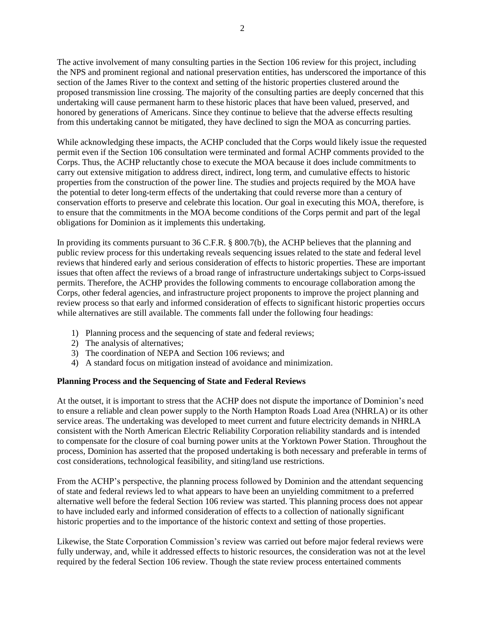The active involvement of many consulting parties in the Section 106 review for this project, including the NPS and prominent regional and national preservation entities, has underscored the importance of this section of the James River to the context and setting of the historic properties clustered around the proposed transmission line crossing. The majority of the consulting parties are deeply concerned that this undertaking will cause permanent harm to these historic places that have been valued, preserved, and honored by generations of Americans. Since they continue to believe that the adverse effects resulting from this undertaking cannot be mitigated, they have declined to sign the MOA as concurring parties.

While acknowledging these impacts, the ACHP concluded that the Corps would likely issue the requested permit even if the Section 106 consultation were terminated and formal ACHP comments provided to the Corps. Thus, the ACHP reluctantly chose to execute the MOA because it does include commitments to carry out extensive mitigation to address direct, indirect, long term, and cumulative effects to historic properties from the construction of the power line. The studies and projects required by the MOA have the potential to deter long-term effects of the undertaking that could reverse more than a century of conservation efforts to preserve and celebrate this location. Our goal in executing this MOA, therefore, is to ensure that the commitments in the MOA become conditions of the Corps permit and part of the legal obligations for Dominion as it implements this undertaking.

In providing its comments pursuant to 36 C.F.R. § 800.7(b), the ACHP believes that the planning and public review process for this undertaking reveals sequencing issues related to the state and federal level reviews that hindered early and serious consideration of effects to historic properties. These are important issues that often affect the reviews of a broad range of infrastructure undertakings subject to Corps-issued permits. Therefore, the ACHP provides the following comments to encourage collaboration among the Corps, other federal agencies, and infrastructure project proponents to improve the project planning and review process so that early and informed consideration of effects to significant historic properties occurs while alternatives are still available. The comments fall under the following four headings:

- 1) Planning process and the sequencing of state and federal reviews;
- 2) The analysis of alternatives;
- 3) The coordination of NEPA and Section 106 reviews; and
- 4) A standard focus on mitigation instead of avoidance and minimization.

### **Planning Process and the Sequencing of State and Federal Reviews**

At the outset, it is important to stress that the ACHP does not dispute the importance of Dominion's need to ensure a reliable and clean power supply to the North Hampton Roads Load Area (NHRLA) or its other service areas. The undertaking was developed to meet current and future electricity demands in NHRLA consistent with the North American Electric Reliability Corporation reliability standards and is intended to compensate for the closure of coal burning power units at the Yorktown Power Station. Throughout the process, Dominion has asserted that the proposed undertaking is both necessary and preferable in terms of cost considerations, technological feasibility, and siting/land use restrictions.

From the ACHP's perspective, the planning process followed by Dominion and the attendant sequencing of state and federal reviews led to what appears to have been an unyielding commitment to a preferred alternative well before the federal Section 106 review was started. This planning process does not appear to have included early and informed consideration of effects to a collection of nationally significant historic properties and to the importance of the historic context and setting of those properties.

Likewise, the State Corporation Commission's review was carried out before major federal reviews were fully underway, and, while it addressed effects to historic resources, the consideration was not at the level required by the federal Section 106 review. Though the state review process entertained comments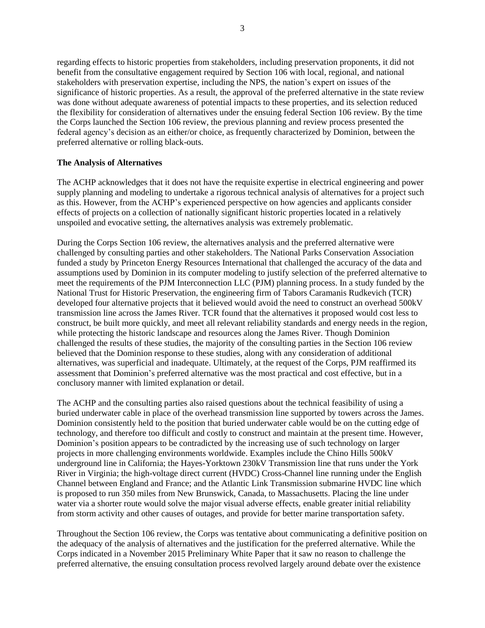regarding effects to historic properties from stakeholders, including preservation proponents, it did not benefit from the consultative engagement required by Section 106 with local, regional, and national stakeholders with preservation expertise, including the NPS, the nation's expert on issues of the significance of historic properties. As a result, the approval of the preferred alternative in the state review was done without adequate awareness of potential impacts to these properties, and its selection reduced the flexibility for consideration of alternatives under the ensuing federal Section 106 review. By the time the Corps launched the Section 106 review, the previous planning and review process presented the federal agency's decision as an either/or choice, as frequently characterized by Dominion, between the preferred alternative or rolling black-outs.

## **The Analysis of Alternatives**

The ACHP acknowledges that it does not have the requisite expertise in electrical engineering and power supply planning and modeling to undertake a rigorous technical analysis of alternatives for a project such as this. However, from the ACHP's experienced perspective on how agencies and applicants consider effects of projects on a collection of nationally significant historic properties located in a relatively unspoiled and evocative setting, the alternatives analysis was extremely problematic.

During the Corps Section 106 review, the alternatives analysis and the preferred alternative were challenged by consulting parties and other stakeholders. The National Parks Conservation Association funded a study by Princeton Energy Resources International that challenged the accuracy of the data and assumptions used by Dominion in its computer modeling to justify selection of the preferred alternative to meet the requirements of the PJM Interconnection LLC (PJM) planning process. In a study funded by the National Trust for Historic Preservation, the engineering firm of Tabors Caramanis Rudkevich (TCR) developed four alternative projects that it believed would avoid the need to construct an overhead 500kV transmission line across the James River. TCR found that the alternatives it proposed would cost less to construct, be built more quickly, and meet all relevant reliability standards and energy needs in the region, while protecting the historic landscape and resources along the James River. Though Dominion challenged the results of these studies, the majority of the consulting parties in the Section 106 review believed that the Dominion response to these studies, along with any consideration of additional alternatives, was superficial and inadequate. Ultimately, at the request of the Corps, PJM reaffirmed its assessment that Dominion's preferred alternative was the most practical and cost effective, but in a conclusory manner with limited explanation or detail.

The ACHP and the consulting parties also raised questions about the technical feasibility of using a buried underwater cable in place of the overhead transmission line supported by towers across the James. Dominion consistently held to the position that buried underwater cable would be on the cutting edge of technology, and therefore too difficult and costly to construct and maintain at the present time. However, Dominion's position appears to be contradicted by the increasing use of such technology on larger projects in more challenging environments worldwide. Examples include the Chino Hills 500kV underground line in California; the Hayes-Yorktown 230kV Transmission line that runs under the York River in Virginia; the high-voltage direct current (HVDC) Cross-Channel line running under the English Channel between England and France; and the Atlantic Link Transmission submarine HVDC line which is proposed to run 350 miles from New Brunswick, Canada, to Massachusetts. Placing the line under water via a shorter route would solve the major visual adverse effects, enable greater initial reliability from storm activity and other causes of outages, and provide for better marine transportation safety.

Throughout the Section 106 review, the Corps was tentative about communicating a definitive position on the adequacy of the analysis of alternatives and the justification for the preferred alternative. While the Corps indicated in a November 2015 Preliminary White Paper that it saw no reason to challenge the preferred alternative, the ensuing consultation process revolved largely around debate over the existence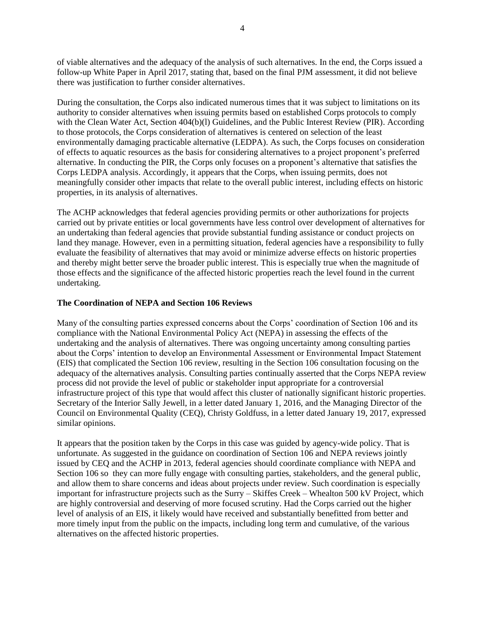of viable alternatives and the adequacy of the analysis of such alternatives. In the end, the Corps issued a follow-up White Paper in April 2017, stating that, based on the final PJM assessment, it did not believe there was justification to further consider alternatives.

During the consultation, the Corps also indicated numerous times that it was subject to limitations on its authority to consider alternatives when issuing permits based on established Corps protocols to comply with the Clean Water Act, Section 404(b)(l) Guidelines, and the Public Interest Review (PIR). According to those protocols, the Corps consideration of alternatives is centered on selection of the least environmentally damaging practicable alternative (LEDPA). As such, the Corps focuses on consideration of effects to aquatic resources as the basis for considering alternatives to a project proponent's preferred alternative. In conducting the PIR, the Corps only focuses on a proponent's alternative that satisfies the Corps LEDPA analysis. Accordingly, it appears that the Corps, when issuing permits, does not meaningfully consider other impacts that relate to the overall public interest, including effects on historic properties, in its analysis of alternatives.

The ACHP acknowledges that federal agencies providing permits or other authorizations for projects carried out by private entities or local governments have less control over development of alternatives for an undertaking than federal agencies that provide substantial funding assistance or conduct projects on land they manage. However, even in a permitting situation, federal agencies have a responsibility to fully evaluate the feasibility of alternatives that may avoid or minimize adverse effects on historic properties and thereby might better serve the broader public interest. This is especially true when the magnitude of those effects and the significance of the affected historic properties reach the level found in the current undertaking.

# **The Coordination of NEPA and Section 106 Reviews**

Many of the consulting parties expressed concerns about the Corps' coordination of Section 106 and its compliance with the National Environmental Policy Act (NEPA) in assessing the effects of the undertaking and the analysis of alternatives. There was ongoing uncertainty among consulting parties about the Corps' intention to develop an Environmental Assessment or Environmental Impact Statement (EIS) that complicated the Section 106 review, resulting in the Section 106 consultation focusing on the adequacy of the alternatives analysis. Consulting parties continually asserted that the Corps NEPA review process did not provide the level of public or stakeholder input appropriate for a controversial infrastructure project of this type that would affect this cluster of nationally significant historic properties. Secretary of the Interior Sally Jewell, in a letter dated January 1, 2016, and the Managing Director of the Council on Environmental Quality (CEQ), Christy Goldfuss, in a letter dated January 19, 2017, expressed similar opinions.

It appears that the position taken by the Corps in this case was guided by agency-wide policy. That is unfortunate. As suggested in the guidance on coordination of Section 106 and NEPA reviews jointly issued by CEQ and the ACHP in 2013, federal agencies should coordinate compliance with NEPA and Section 106 so they can more fully engage with consulting parties, stakeholders, and the general public, and allow them to share concerns and ideas about projects under review. Such coordination is especially important for infrastructure projects such as the Surry – Skiffes Creek – Whealton 500 kV Project, which are highly controversial and deserving of more focused scrutiny. Had the Corps carried out the higher level of analysis of an EIS, it likely would have received and substantially benefitted from better and more timely input from the public on the impacts, including long term and cumulative, of the various alternatives on the affected historic properties.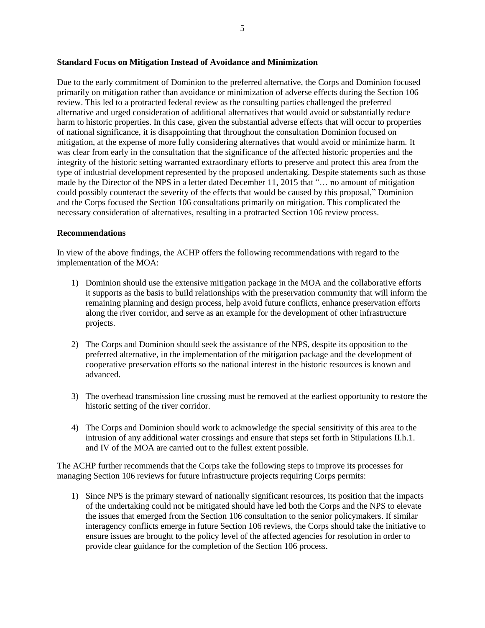### **Standard Focus on Mitigation Instead of Avoidance and Minimization**

Due to the early commitment of Dominion to the preferred alternative, the Corps and Dominion focused primarily on mitigation rather than avoidance or minimization of adverse effects during the Section 106 review. This led to a protracted federal review as the consulting parties challenged the preferred alternative and urged consideration of additional alternatives that would avoid or substantially reduce harm to historic properties. In this case, given the substantial adverse effects that will occur to properties of national significance, it is disappointing that throughout the consultation Dominion focused on mitigation, at the expense of more fully considering alternatives that would avoid or minimize harm. It was clear from early in the consultation that the significance of the affected historic properties and the integrity of the historic setting warranted extraordinary efforts to preserve and protect this area from the type of industrial development represented by the proposed undertaking. Despite statements such as those made by the Director of the NPS in a letter dated December 11, 2015 that "… no amount of mitigation could possibly counteract the severity of the effects that would be caused by this proposal," Dominion and the Corps focused the Section 106 consultations primarily on mitigation. This complicated the necessary consideration of alternatives, resulting in a protracted Section 106 review process.

#### **Recommendations**

In view of the above findings, the ACHP offers the following recommendations with regard to the implementation of the MOA:

- 1) Dominion should use the extensive mitigation package in the MOA and the collaborative efforts it supports as the basis to build relationships with the preservation community that will inform the remaining planning and design process, help avoid future conflicts, enhance preservation efforts along the river corridor, and serve as an example for the development of other infrastructure projects.
- 2) The Corps and Dominion should seek the assistance of the NPS, despite its opposition to the preferred alternative, in the implementation of the mitigation package and the development of cooperative preservation efforts so the national interest in the historic resources is known and advanced.
- 3) The overhead transmission line crossing must be removed at the earliest opportunity to restore the historic setting of the river corridor.
- 4) The Corps and Dominion should work to acknowledge the special sensitivity of this area to the intrusion of any additional water crossings and ensure that steps set forth in Stipulations II.h.1. and IV of the MOA are carried out to the fullest extent possible.

The ACHP further recommends that the Corps take the following steps to improve its processes for managing Section 106 reviews for future infrastructure projects requiring Corps permits:

1) Since NPS is the primary steward of nationally significant resources, its position that the impacts of the undertaking could not be mitigated should have led both the Corps and the NPS to elevate the issues that emerged from the Section 106 consultation to the senior policymakers. If similar interagency conflicts emerge in future Section 106 reviews, the Corps should take the initiative to ensure issues are brought to the policy level of the affected agencies for resolution in order to provide clear guidance for the completion of the Section 106 process.